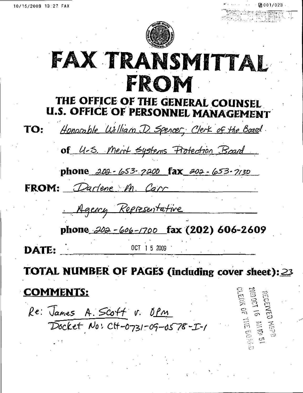

# FAX TRANSMITTAL FROM

### THE OFFICE OF THE GENERAL COUNSEL U.S. OFFICE OF PERSONNEL MANAGEMENT

Honorable William D. Spencer, Clerk of the Board. TO: of 4-5. Ment systems Protection Board

phone 202-653-7200 fax 202-653-7130

FROM: Darlene M. Carr

Agency Representative

phone  $202 - 606 - 1700$  fax (202) 606-2609

DATE:

OCT 1 5 2009 '

 $\tilde{\Xi}$ 

TOTAL NUMBER OF PAGES (including cover sheet): 23

COMMENTS:

Re: James A. Scoft v. Opm Docket No: CH-0731-09-0578-I-1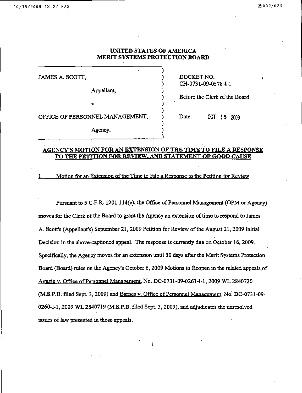JAMES A. SCOTT,  $DOCKET NO$ :

Appellant,

 $\mathbf{v}$ . )

CH-0731-09-0578-I-1

) Before the Clerk of the Board

OFFICE OF PERSONNEL MANAGEMENT, ) Date: 0CT 15 2009

Agency.

#### AGENCY'S MOTION FOR AN EXTENSION OF THE TIME TO FILE A RESPONSE TO THE PETITION FOR REVIEW. AND STATEMENT OF GOOD CAUSE

)

)

Motion for an Extension of the Time to File a Response to the Petition for Review

Pursuant to 5 CF.R. 1201,1 14(e), the Office of Personnel Management (OPM or Agency) moves for the Clerk of the Board to grant the Agency an extension of time to respond to James A. Scott's (Appellant's) September 21, 2009 Petition for Review of the August 21, 2009 Initial Decision in the above-captioned appeal. The response is currently due on October 16, 2009. Specifically, the Agency moves for an extension until 30 days after the Merit Systems Protection Board (Board) rules on the Agency's October 6,2009 Motions to Reopen in the related appeals of AgUZJe V. Office of Personnel Management. No. DC-0731-09-0261-1-1, 2009 WL 2840720 (M.S.P.B- filed Sept. 3,2009) and Barnes v. Office of Personnel Management. No. DC-0731-09- 0260-1-1,2009 WL 2840719 (MS.P.B. filed Sept. 3, 2009), and adjudicates the unresolved issues of law presented in those appeals.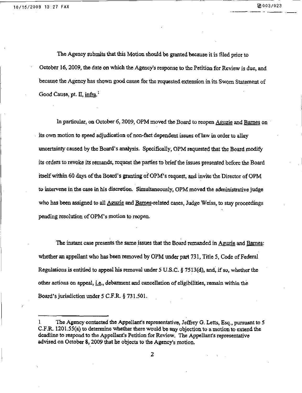The Agency submits that this Motion should be granted because it is filed prior to October 16, 2009, the date on which the Agency's response to the Petition for Review is due, and because the Agency has shown good cause foe the requested extension in its Sworn Statement of Good Cause, pt.  $\Pi$ , infra.<sup>1</sup>

In particular, on October 6, 2009, OPM moved the Board to reopen Aguzie and Barnes on its own motion to speed adjudication of non-fact dependent issues of law in order to alky uncertainty caused by the Board's analysis. Specifically, OPM requested that the Board modify its orders to revoke its remands, request the parties to brief the issues presented before the Board itself within 60 days of the Board's granting of OPM's request, and invite the Director of OPM to intervene in the case in his discretion. Simultaneously, OPM moved the administrative judge who has been assigned to all Aguzie and Barnes-related cases, Judge Weiss, to stay proceedings pending resolution of OPM's motion to reopen.

The instant case presents the same issues that the Board remanded in Aguzie and Barnes: whether an appellant who has been removed by OPM under part 731, Title 5, Code of Federal Regulations is entitled to appeal his removal under 5 U.S.C. § 7513(d), and, if so, whether the other actions on appeal, i.e., debarment and cancellation of eligibilities, remain within the Board's jurisdiction under 5 C.F.R. § 731.501.

The Agency contacted the Appellant's representative, Jeffrey G. Letts, Esq., pursuant to 5 C.F.R. 1201.55(a) to determine whether there would be auy objection to a motion to extend the deadline to respond to the Appellant's Petition for Review, The Appellant's representative advised on October 8,2009 that he objects to the Agency's motion.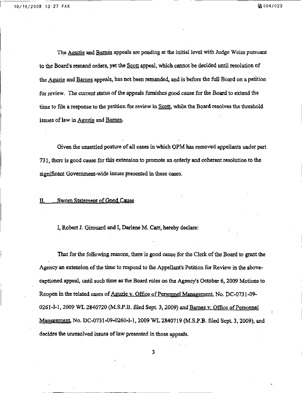The Aguzie and Barnes appeals are pending at the initial level with Judge Weiss pursuant to the Board's remand orders, yet the Scott appeal, which cannot be decided until resolution of the Aguzie and Barnes appeals, has not been remanded, and is before the full Board on a petition for review. The current status of the appeals furnishes good cause for the Board to extend the time to file a response to the petition for review in Scott, while the Board resolves the threshold issues of law in Aguzie and Barnes.

Given the unsettled posture of all cases in which 0PM has removed appellants under part 731, there is good cause for this extension to promote an orderly and coherent resolution to the significant Government-wide issues presented in these cases.

#### II. Sworn Statement of Good Cause

I, Robert J. Girouard and I, Darlene M. Carr, hereby declare:

That for the following reasons, there is good cause for the Clerk of the Board to grant the Agency an extension of the time to respond to the Appellant's Petition for Review in the abovecaptioned appeal, until such time as the Board rules on the Agency's October 6,2009 Motions to Reopen in the related cases of Aguzie v. Office of Personnel Management, No. DC-0731-09-0261-I-1, 2009 WL 2840720 (M.S.P.B. filed Sept. 3, 2009) and Barnes v. Office of Personnel Management, No. DC-0731-09-0260-I-1, 2009 WL 2840719 (M.S.P.B. filed Sept. 3, 2009), and decides the unresolved issues of law presented in those appeals.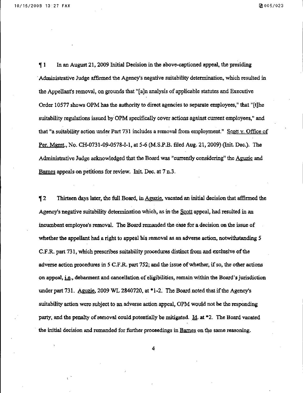f 1 In an August 21, 2009 Initial Decision in the above-captioned appeal, the presiding Administrative Judge affirmed the Agency's negative suitability determination, which resulted in the Appellant's removal, on grounds that "[a]n analysis of applicable statutes and Executive Order 10577 shows OPM has the authority to direct agencies to separate employees," that "[t]he suitability regulations issued by OPM specifically cover actions against current employees," and that "a suitability action under Part 731 includes a removal from employment." Scott y. Office of Per. Mgmt., No. CH-0731-09-0578-I-1, at 5-6 (M.S.P.B. filed Aug. 21, 2009) (Init. Dec.). The Administrative Judge acknowledged that the Board was "currently considering" the Aguzie and Barnes appeals on petitions for review. Init Dec. at 7 n,3.

12 Thirteen days later, the full Board, in Aguzie, vacated an initial decision that affirmed the Agency's negative suitability determination which, as in the Scott appeal, had resulted in an incumbent employee's removal. The Board remanded the case for a decision on the issue of whether the appellant had a right to appeal his removal as an adverse action, notwithstanding 5 C.F.R. part 731, which prescribes suitability procedures distinct from and exclusive of the adverse action procedures in 5 C.F.R. part 752; and the issue of whether, if so, the other actions on appeal, i.g., debarment and cancellation of eligibilities, remain within the Board's jurisdiction under part 731. Aguzie, 2009 WL 2840720, at  $*1-2$ . The Board noted that if the Agency's suitability action were subject to an adverse action appeal, OPM would not be the responding party, and the penalty of removal could potentially be mitigated. Id. at \*2. The Board vacated the initial decision and remanded for further proceedings in Barnes on the same reasoning.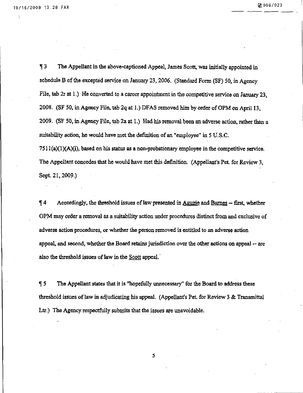H 3 The Appellant in the above-captioned Appeal, James Scott, was initially appointed in schedule B of the excepted service on January 23, 2006. (Standard Form  $(SF)$  50, in Agency File, tab 2r at 1.) He converted to a career appointment in the competitive service on January 23. 2008. (SF 50, in Agency File, tab 2q at 1.) DFAS removed him by order of 0PM on April 13, 2009. (SF 50, in Agency File, tab 2a at 1.) Had his removal been an adverse action, rather than a suitability action, he would have met the definition of an "employee" in 5 U.S.C.  $7511(a)(1)(A)(i)$ , based on his status as a non-probationary employee in the competitive service. The Appellant concedes that he would have met this definition. (Appellant's Pet. for Review 3,

Sept, 21,2009.)

If 4 Accordingly, the threshold issues of law presented in Aguzie and Barnes - first, whether OPM may order a removal as a suitability action under procedures distinct from and exclusive of adverse action procedures, or whether the person removed is entitled to an adverse action appeal, and second, whether the Board retains jurisdiction over the other actions on appeal ~ are also the threshold issues of law in the Scott appeal.

 $\P$  5 The Appellant states that it is "hopefully unnecessary" for the Board to address these threshold issues of law in adjudicating his appeal. (Appellant's Pet. for Review 3 & Transmittal Ltr.) The Agency respectfully submits that the issues are unavoidable.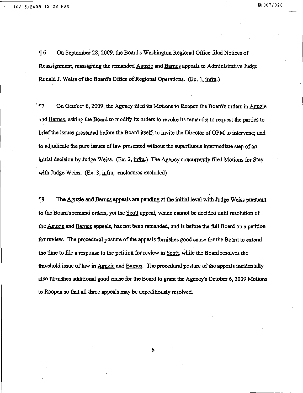K 6 On September 28,2009, the Board's Washington Regional Office filed Notices of Reassignment, reassigning the remanded Aguzie and Barnes appeals to Administrative Judge Ronald J. Weiss of the Board's Office of Regional Operations. (Ex, 1, infra.)

 $f_{\text{F}}$  On October 6, 2009, the Agency filed its Motions to Reopen the Board's orders in Aguzie and Barnes, asking the Board to modify its orders to revoke its remands; to request the parties to brief the issues presented before the Board itself; to invite the Director of OPM to intervene; and  $\overline{\phantom{0}}$ to adjudicate the pure issues of law presented without the superfluous intermediate step of an initial decision by Judge Weiss. (Ex. 2, infra.) The Agency concurrently filed Motions for Stay with Judge Weiss. (Ex. 3, infra, enclosures excluded)

**The Aguzie and Barnes appeals are pending at the initial level with Judge Weiss pursuant** to the Board's remand orders, yet the Scott appeal, which cannot be decided until resolution of the Aguzie and Barnes appeals, has not been remanded, and is before the full Board on a petition for review. The procedural posture of the appeals furnishes good cause for the Board to extend the time to file a response to the petition for review in Scott, while the Board resolves the threshold issue of law in Aguzie and Barnes. The procedural posture of the appeals incidentally also furnishes additional good cause for the Board to grant the Agency's October 6, 2009 Motions to Reopen so that all three appeals may be expeditiously resolved.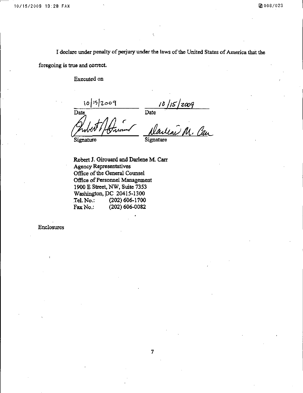I declare under penalty of perjury under the laws of the United States of America that the

foregoing is true and correct.

Executed on

10/15/2009 Date Date Signature Signature

/ J

Robert J. Girouard and Darlene M. Carr Agency Representatives Office of the General Counsel Office of Personnel Management 1900 E Street, KW, Suite 7353 Washington, DC 20415-1300<br>Tel. No.: (202) 606-1700 Tel. No.: (202) 606-1700<br>Fax No.: (202) 606-0082  $(202)606-0082$ 

Enclosures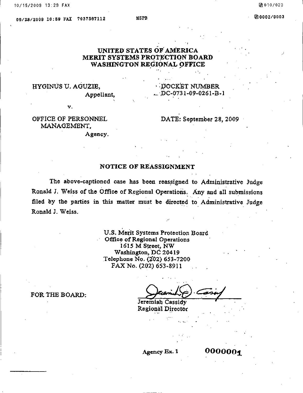0010/023

#### UNITED STATES OF AMERICA MERIT SYSTEMS PROTECTION BOARD WASHINGTON REGIONAL OFFICE

#### HYGINUS U. AGUZIB, Appellant,

DOCKET NUMBER ... 0C-0731-09-0261-B-1

OFFICE OF PERSONNEL MANAGEMENT,

v.

DATE: September 28, 2009

Agency.

#### NOTICE OF REASSIGNMENT

The above-captioned case has been reassigned to Administrative Judge Ronald J, Weiss of the Office of Regional Operations. Any and all submissions filed by the parties in this matter must be directed to Administrative Judge Ronald J. Weiss.

> U.S. Merit Systems Protection Board Office of Regional Operations 1615 M Street, NW Washington, DC 20419 Telephone No. (202) 653-7200 FAX No. (202) 653-8911

FOR THE BOARD:

Jeremiah Cassidy Regional Director

Agency Ex. 1 0000001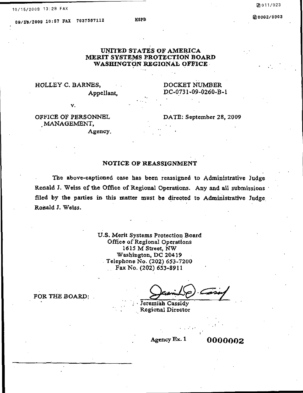#### Q8/ZB/2009 10:67 FAX 70375B7112

Mgpfi

#### UNITED STATES OF AMERICA MERIT SYSTEMS PROTECTION BOARD WASHINGTON REGIONAL OFFICE

# HOLLEY C. BARNES, DOCKET NUMBER

Appellant, DC-0731-09-0260-B-1

v.  $\blacksquare$ 

## , MANAGEMENT,

Agency,

#### OFFICE OF PERSONNEL DATE: September 28, 2009

#### NOTICE OF REASSIGNMENT

The above-captioned case has been reassigned to Administrative Judge Ronald J. Weiss of the Office of Regional Operations. Any and all submissions filed by the parties in this matter must be directed to Administrative Judge. Ronald J. Weiss.

> U.S. Merit Systems Protection Board Office of Regional Operations 1615 M Street, NW Washington, DC 20419 Telephone No. (202) 653-7200 Fax No. (202) 653-8911

Jeremiah Cassidy Regional Director

Agency Ex. 1 0000002

FOR THE BOARD;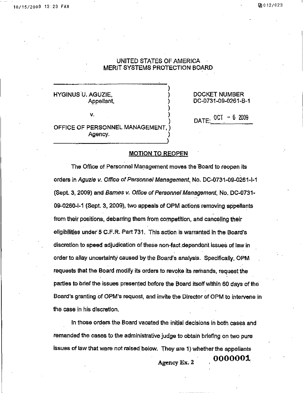)

HYGINUS U. AGUZIE, ) DOCKET NUMBER

V.  $DATE:$   $\frac{0.01}{0.01}$ 

Appellant, (a) (b) DC-0731-09-0261-B-1

OFFICE OF PERSONNEL MANAGEMENT, ) Agency.

#### MOTION TO REOPEN

The Office of Personnel Management moves the Board to reopen its orders in Aguzie v. Office of Personnel Management, No. DC-0731-09-0261-1-1 (Sept. 3, 2009) and Barnes v. Office of Personnel Management, No. DC-0731-09-0260-1-1 (Sept. 3, 2009), two appeals of OPM actions removing appellants from their positions, debarring them from competition, and canceling their eligibilities under 5 C.F.R. Part 731 . This action is warranted in the Board's discretion to speed adjudication of these non-fact dependent issues of law in order to allay uncertainty caused by the Board's analysis. Specifically, OPM requests that the Board modify its orders to revoke its remands, request the parties to brief the issues presented before the Board itself within 60 days of the Board's granting of OPM's request, and invite the Director of OPM to intervene in the case in his discretion.

In those orders the Board vacated the initial decisions in both cases and remanded the cases to the administrative judge to obtain briefing on two pure issues of law that were not raised below. They are 1 ) whether the appellants

^ Agency Ex. 2

- ooooooi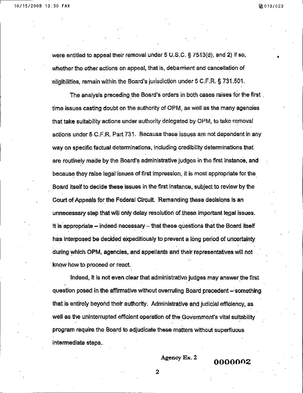were entitled to appeal their removal under 5 U.S.C. § 7513(d), and 2) if so, whether the other actions on appeal, that is, debarment and cancellation of eligibilities, remain within the Board's jurisdiction under 5 C.F.R. § 731.501,

The analysis preceding the Board's orders in both cases raises for the first . time issues casting doubt on the authority of OPM, as well as the many agencies that take suitability actions under authority delegated by OPM, to take-removal actions under 5 C.F.R. Part 731. Because these issues are not dependent in any way on specific factual determinations, including credibility determinations that are routinely made by the Board's administrative judges in the first instance, and because they raise legal'issues of first impression, it is most appropriate for the Board itself to decide these issues in the first instance, subject to review by the Court of Appeals for the Federal Circuit. 'Remanding these decisions is an unnecessary step that will only delay resolution of.these important legal issues. It is appropriate – indeed necessary – that these questions that the Board itself has interposed be decided expeditiously to prevent a long period of uncertainty during which OPM, agencies, and appellants and their representatives will not know how to proceed or react.

Indeed, it is not even clear that administrative judges may answer the first question posed in the affirmative without overruling Board precedent - something that is entirely beyond their authority. Administrative and judicial efficiency, as well as the uninterrupted efficient operation of the Government's vital suitability program require the Board to adjudicate these matters without superfluous intermediate steps..

Agency Ex. 2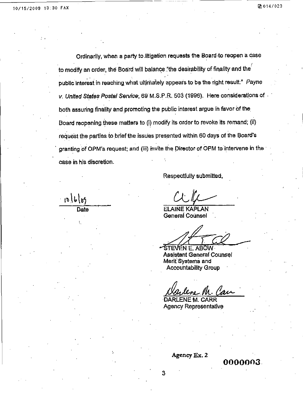L

 $10|b|b$ 

Ordinarily, when a party to,litigation requests the Board to reopen a case to modify an order, the Board will balance "the desirability of finality and the  $\epsilon$ public interest in reaching what ultimately appears to be the right result:" Payne v. United States Postal Service; 69 M.S.P.R. 503 (1996). Here considerations of both assuring finality and promoting the public interest argue in favor of the Board reopening, these matters to (i) modify its order to revoke its remand; (ii) request the parties to brief the issues presented within 60 days of the Board's granting of OPM's request; and (iii) invite the Director of OPM to intervene in the case in his discretion.

Respectfully submitted,

Date **ELAINE KAPLAN** General Counsel

STEVEN E. ABOW : Assistant General Counsel Merit Systems and Accountability Group

DARLENE M. CARR Agency Representative

Agency Ex. 2

3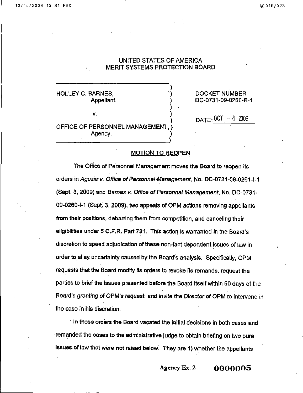)

HOLLEY C. BARNES, ") DOCKET NUMBER

V.

DC-0731-09-0260-B-1

OFFICE OF PERSONNEL MANAGEMENT. Agency.

 $DATE:$  OCT - 6 2009

#### MOTION TO REOPEN

The Office of Personnel Management moves the Board to reopen its orders in Aguzie v. Office of Personnel Management, No. DC-0731-09-0261-1-1 (Sept. 3, 2009) and Barnes v. Office of Personnel Management, No. DC-0731- 09-0260-1-1 (Sept. 3, 2009), two appeals of OPM actions removing appellants from their positions, debarring them from competition, and canceling their eligibilities under 5 C.F.R. Part 731. This action is warranted in the Board's discretion to speed adjudication of these non-fact dependent issues of law in order to allay uncertainty caused by the Board's analysis. Specifically, OPM requests that the Board modify its orders to revoke its remands, request the parties to brief the issues presented before the Board itself within 60 days of the Board's granting of OPM's request, and invite the Director of OPM to intervene in the case in his discretion.

In those orders the Board vacated the initial decisions in both cases and remanded the cases to the administrative judge to obtain briefing on two pure issues of law that were not raised below. They are 1) whether the appellants

Agency Ex. 2  $0000005$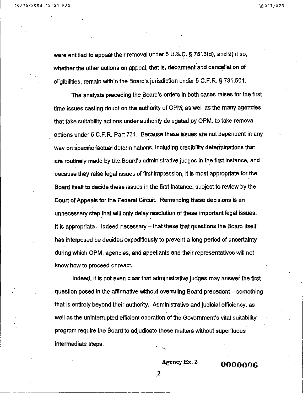were entitled to appeal their removal under 5 U.S.C. § 7513(d), and 2) if so. whether the other actions on appeal, that is, debarment and cancellation of eligibilities, remain within the Board's jurisdiction under 5 C.F.R. § 731.501.

The analysis preceding the Board's orders in both cases raises for the first time issues casting doubt on the authority of OPM, as well as the many agencies that take suitability actions under authority delegated by OPM. to take removal actions under 5 C.F.R. Part 731. Because these issues are not dependent in any way on specific factual determinations, including credibility determinations that are routinely made by the. Board's administrative judges in the first instance, and because they raise legal issues of first impression, it is most appropriate for the Board itself to decide these issues in the first instance, subject to review by the Court of Appeals for the Federal Circuit. Remanding these decisions is an unnecessary step that will only delay resolution of these important legal issues. It is appropriate  $-$  indeed necessary  $-$  that these that questions the Board itself has interposed be decided expeditiously to prevent a long period of uncertainty during which OPM, agencies, and appellants and their representatives will not know how to proceed or react.

Indeed, it is not even clear that administrative judges may answer the first question posed in the affirmative without overruling Board precedent - something that is entirely beyond their authority. Administrative and judicial efficiency, as well as the uninterrupted efficient operation of the Government's vital suitability program require the Board to adjudicate these matters without superfluous intermediate steps.

 $\text{Agency Ex. 2}$   $0000006$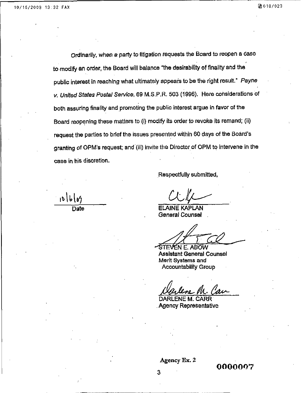$10|b|b$ 

Ordinarily, when a party to'litigation requests the Board to reopen a case to modify an order, the Board will balance "the desirability of finality and the public interest in reaching what ultimately appears to be the right result." Payne v, United States Postal Service, 69 M.S.P.R. 503 (1996). Here considerations of both assuring finality and promoting the public interest argue in favor of the Board reopening these matters to (i) modify its order to revoke its remand; (ii) request the parties to brief the issues presented within 60 days of the Board's granting of OPM's request; and (iii) invite the Director of OPM to intervene in the case in his discretion.

Respectfully submitted,

Date **ELAINE KAPLAN** General Counsel

EN E. ABOW Assistant General Counsel Merit Systems and Accountability Group

DARLENE M. CARR Agency Representative

Agency Ex. 2

0000007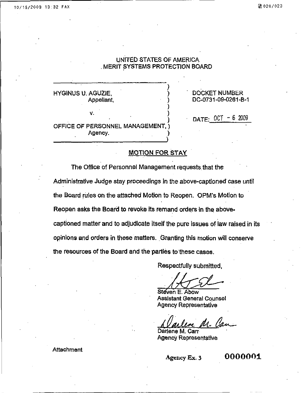HYGINUS U. AGUZIE, (CONSET NUMBER ) A DOCKET NUMBER<br>Appellant, (CONSET DC-0731-09-0261-B

V.

Agency.

OFFICE OF PERSONNEL MANAGEMENT,

DC-0731-09-0261-B-1

DATE: 0CT - 6 2009

#### MOTION FOR STAY

)

The Office of Personnel Management requests that the Administrative Judge stay proceedings in the above-captioned case until the Board rules on the attached Motion to Reopen. OPM's Motion to Reopen asks the Board to revoke its remand orders in the abovecaptioned matter and to adjudicate itself the pure issues of law raised in its opinions and orders in these matters. Granting this motion will conserve the resources of the Board and the parties to these cases.

Respectfully submitted,

Steven E. Abow Assistant General Counsel Agency Representative

Darlene M, Carr Agency Representative

**Attachment** 

Agency Ex. 3  $0000001$